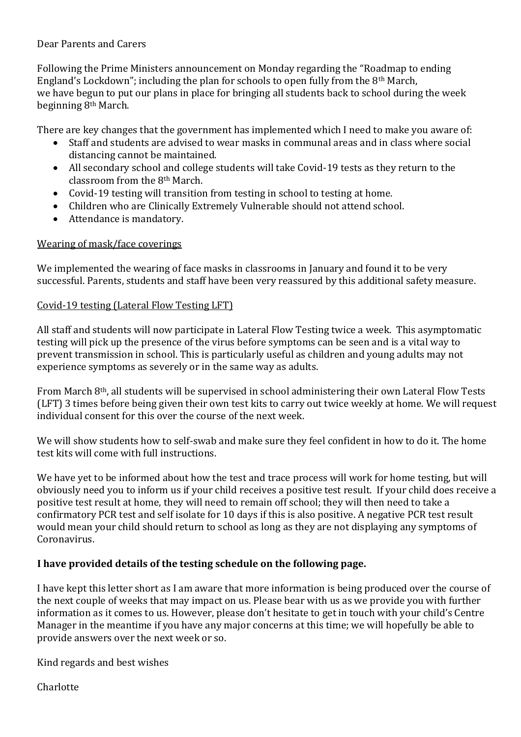#### Dear Parents and Carers

Following the Prime Ministers announcement on Monday regarding the "Roadmap to ending England's Lockdown"; including the plan for schools to open fully from the 8th March, we have begun to put our plans in place for bringing all students back to school during the week beginning 8th March.

There are key changes that the government has implemented which I need to make you aware of:

- Staff and students are advised to wear masks in communal areas and in class where social distancing cannot be maintained.
- All secondary school and college students will take Covid-19 tests as they return to the classroom from the 8th March.
- Covid-19 testing will transition from testing in school to testing at home.
- Children who are Clinically Extremely Vulnerable should not attend school.
- Attendance is mandatory.

## Wearing of mask/face coverings

We implemented the wearing of face masks in classrooms in January and found it to be very successful. Parents, students and staff have been very reassured by this additional safety measure.

#### Covid-19 testing (Lateral Flow Testing LFT)

All staff and students will now participate in Lateral Flow Testing twice a week. This asymptomatic testing will pick up the presence of the virus before symptoms can be seen and is a vital way to prevent transmission in school. This is particularly useful as children and young adults may not experience symptoms as severely or in the same way as adults.

From March 8th, all students will be supervised in school administering their own Lateral Flow Tests (LFT) 3 times before being given their own test kits to carry out twice weekly at home. We will request individual consent for this over the course of the next week.

We will show students how to self-swab and make sure they feel confident in how to do it. The home test kits will come with full instructions.

We have yet to be informed about how the test and trace process will work for home testing, but will obviously need you to inform us if your child receives a positive test result. If your child does receive a positive test result at home, they will need to remain off school; they will then need to take a confirmatory PCR test and self isolate for 10 days if this is also positive. A negative PCR test result would mean your child should return to school as long as they are not displaying any symptoms of Coronavirus.

## **I have provided details of the testing schedule on the following page.**

I have kept this letter short as I am aware that more information is being produced over the course of the next couple of weeks that may impact on us. Please bear with us as we provide you with further information as it comes to us. However, please don't hesitate to get in touch with your child's Centre Manager in the meantime if you have any major concerns at this time; we will hopefully be able to provide answers over the next week or so.

Kind regards and best wishes

Charlotte